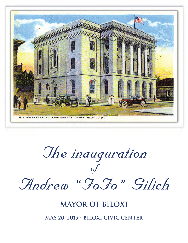

The inauguration of Andrew "FoFo" Gilich

## **Mayor of Biloxi**

**May 20, 2015 • Biloxi Civic Center**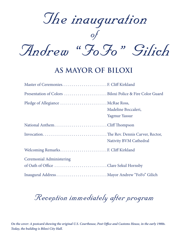

## **as Mayor of Biloxi**

| Pledge of Allegiance  McRae Ross,                                        | Madeline Boccaleri,<br>Yagmur Yassur |
|--------------------------------------------------------------------------|--------------------------------------|
| National AnthemCliff Thompson                                            |                                      |
|                                                                          | Nativity BVM Cathedral               |
| Welcoming Remarks F. Cliff Kirkland                                      |                                      |
| <b>Ceremonial Administering</b><br>of Oath of Office Clare Sekul Hornsby |                                      |
| Inaugural Address Mayor Andrew "FoFo" Gilich                             |                                      |

# Reception immediately after program

*On the cover: A postcard showing the original U.S. Courthouse, Post Office and Customs House, in the early 1900s. Today, the building is Biloxi City Hall.*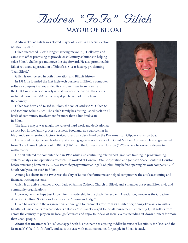Andrew "FoFo" Gilich

#### **Mayor of Biloxi**

Andrew "FoFo" Gilich was elected mayor of Biloxi in a special election on May 12, 2015.

Gilich succeeded Biloxi's longest-serving mayor, A.J. Holloway, and came into office promising to provide 21st Century solutions to helping solve Biloxi's challenges and move the city forward. He also promoted his Biloxi roots and appreciation of Biloxi's 315-year history, proclaiming "I am Biloxi."

Gilich is well-versed in both innovation and Biloxi's history.

In 1983, he founded the first high-tech business in Biloxi, a computer software company that expanded its customer base from Biloxi and the Gulf Coast to service nearly 40 states across the nation. His clients included more than 50% of the largest public school districts in the country.

Gilich was born and raised in Biloxi, the son of Andrew M. Gilich Sr. and Jacobina Sekul Gilich. The Gilich family has distinguished itself on all levels of community involvement for more than a hundred years in Biloxi.



The future mayor was taught the value of hard work and dedication as a stock boy in the family grocery business, Foodland; as a can catcher in

his grandparents' seafood factory SeaCoast; and as a deck hand on the Pan American Clipper excursion boat.

He learned discipline and leadership at a young age as a graduate of Gulf Coast Military Academy. He also graduated from Notre Dame High School in Biloxi (1965) and the University of Houston (1970), where he earned a degree in mathematics.

He first entered the computer field in 1968 while also continuing related post-graduate training in programming, systems analysis and operations research. He worked at Control Data Corporation and Johnson Space Center in Houston, before returning home in 1972, as a scientific programmer at Ingalls Shipbuilding before opening his own company, Gulf South Analytical in 1983 in Biloxi.

Among his clients in the 1980s was the City of Biloxi; the future mayor helped computerize the city's accounting and financial tracking systems.

Gilich is an active member of Our Lady of Fatima Catholic Church in Biloxi, and a member of several Biloxi civic and community organizations.

However, he is perhaps best known for his leadership in the Slavic Benevolent Association, known as the Croatian-American Cultural Society, or locally, as the "Slavonian Lodge."

Gilich has overseen the organization's annual golf tournament grow from its humble beginnings 42 years ago with a handful of participants to what today is billed as "the planet's largest four-ball tournament," attracting 1,100 golfers from across the country to play on six local golf courses and enjoy four days of social events including sit-down dinners for more than 2,000 people.

**About that nickname:** "FoFo" was tagged with his nickname as a young toddler because of his affinity for "Jack and the Beanstalk" ("fee-fi-fo-fo-fum"), and, as is the case with most nicknames for people in Biloxi, it stuck.